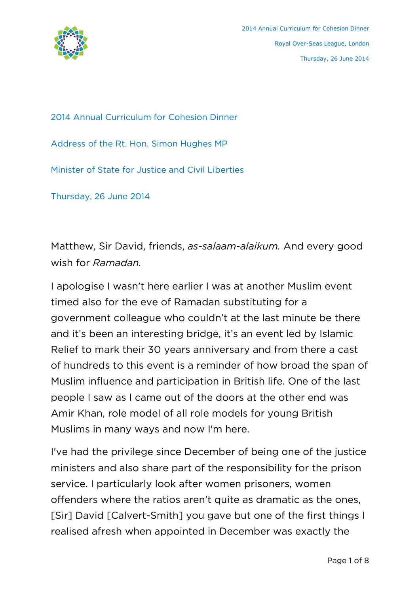

2014 Annual Curriculum for Cohesion Dinner

Address of the Rt. Hon. Simon Hughes MP

Minister of State for Justice and Civil Liberties

Thursday, 26 June 2014

Matthew, Sir David, friends, *as-salaam-alaikum.* And every good wish for *Ramadan.*

I apologise I wasn't here earlier I was at another Muslim event timed also for the eve of Ramadan substituting for a government colleague who couldn't at the last minute be there and it's been an interesting bridge, it's an event led by Islamic Relief to mark their 30 years anniversary and from there a cast of hundreds to this event is a reminder of how broad the span of Muslim influence and participation in British life. One of the last people I saw as I came out of the doors at the other end was Amir Khan, role model of all role models for young British Muslims in many ways and now I'm here.

I've had the privilege since December of being one of the justice ministers and also share part of the responsibility for the prison service. I particularly look after women prisoners, women offenders where the ratios aren't quite as dramatic as the ones, [Sir] David [Calvert-Smith] you gave but one of the first things I realised afresh when appointed in December was exactly the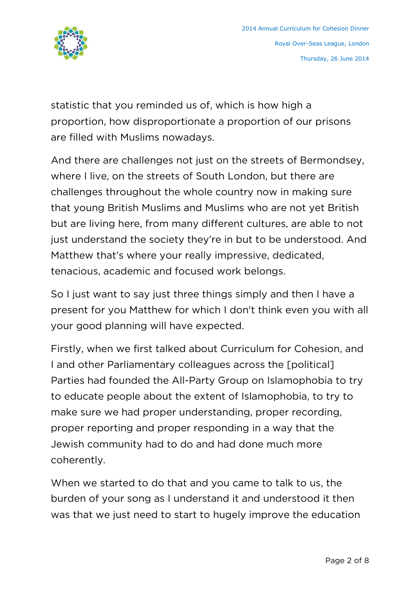

statistic that you reminded us of, which is how high a proportion, how disproportionate a proportion of our prisons are filled with Muslims nowadays.

And there are challenges not just on the streets of Bermondsey, where I live, on the streets of South London, but there are challenges throughout the whole country now in making sure that young British Muslims and Muslims who are not yet British but are living here, from many different cultures, are able to not just understand the society they're in but to be understood. And Matthew that's where your really impressive, dedicated, tenacious, academic and focused work belongs.

So I just want to say just three things simply and then I have a present for you Matthew for which I don't think even you with all your good planning will have expected.

Firstly, when we first talked about Curriculum for Cohesion, and I and other Parliamentary colleagues across the [political] Parties had founded the All-Party Group on Islamophobia to try to educate people about the extent of Islamophobia, to try to make sure we had proper understanding, proper recording, proper reporting and proper responding in a way that the Jewish community had to do and had done much more coherently.

When we started to do that and you came to talk to us, the burden of your song as I understand it and understood it then was that we just need to start to hugely improve the education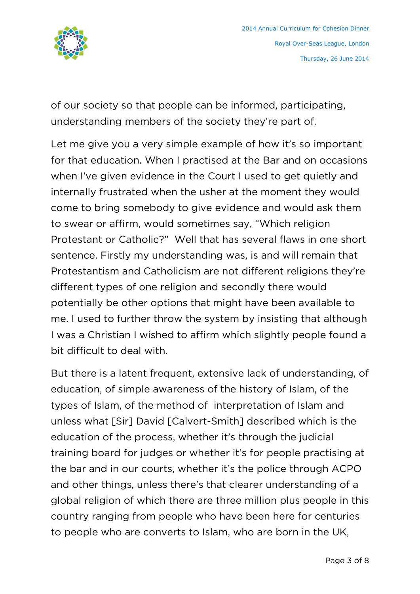

of our society so that people can be informed, participating, understanding members of the society they're part of.

Let me give you a very simple example of how it's so important for that education. When I practised at the Bar and on occasions when I've given evidence in the Court I used to get quietly and internally frustrated when the usher at the moment they would come to bring somebody to give evidence and would ask them to swear or affirm, would sometimes say, "Which religion Protestant or Catholic?" Well that has several flaws in one short sentence. Firstly my understanding was, is and will remain that Protestantism and Catholicism are not different religions they're different types of one religion and secondly there would potentially be other options that might have been available to me. I used to further throw the system by insisting that although I was a Christian I wished to affirm which slightly people found a bit difficult to deal with.

But there is a latent frequent, extensive lack of understanding, of education, of simple awareness of the history of Islam, of the types of Islam, of the method of interpretation of Islam and unless what [Sir] David [Calvert-Smith] described which is the education of the process, whether it's through the judicial training board for judges or whether it's for people practising at the bar and in our courts, whether it's the police through ACPO and other things, unless there's that clearer understanding of a global religion of which there are three million plus people in this country ranging from people who have been here for centuries to people who are converts to Islam, who are born in the UK,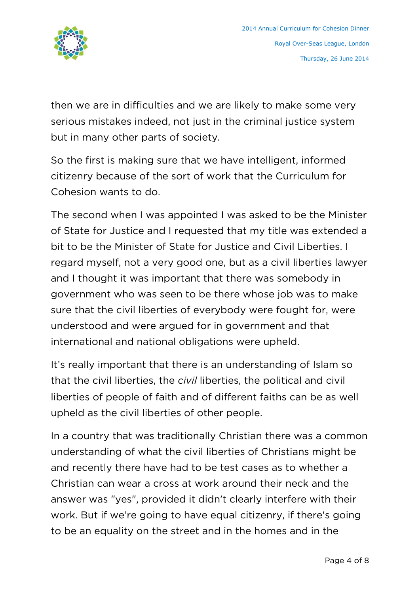

then we are in difficulties and we are likely to make some very serious mistakes indeed, not just in the criminal justice system but in many other parts of society.

So the first is making sure that we have intelligent, informed citizenry because of the sort of work that the Curriculum for Cohesion wants to do.

The second when I was appointed I was asked to be the Minister of State for Justice and I requested that my title was extended a bit to be the Minister of State for Justice and Civil Liberties. I regard myself, not a very good one, but as a civil liberties lawyer and I thought it was important that there was somebody in government who was seen to be there whose job was to make sure that the civil liberties of everybody were fought for, were understood and were argued for in government and that international and national obligations were upheld.

It's really important that there is an understanding of Islam so that the civil liberties, the *civil* liberties, the political and civil liberties of people of faith and of different faiths can be as well upheld as the civil liberties of other people.

In a country that was traditionally Christian there was a common understanding of what the civil liberties of Christians might be and recently there have had to be test cases as to whether a Christian can wear a cross at work around their neck and the answer was "yes", provided it didn't clearly interfere with their work. But if we're going to have equal citizenry, if there's going to be an equality on the street and in the homes and in the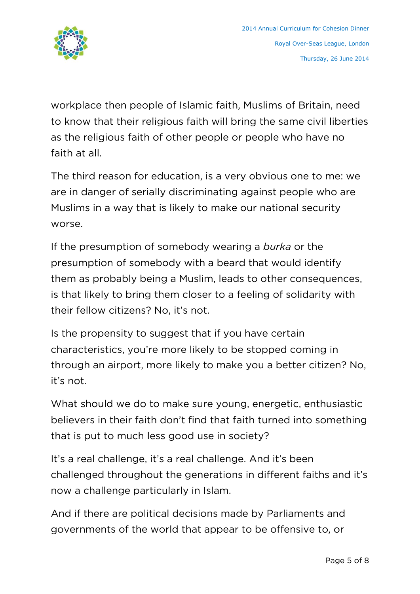

workplace then people of Islamic faith, Muslims of Britain, need to know that their religious faith will bring the same civil liberties as the religious faith of other people or people who have no faith at all.

The third reason for education, is a very obvious one to me: we are in danger of serially discriminating against people who are Muslims in a way that is likely to make our national security worse.

If the presumption of somebody wearing a *burka* or the presumption of somebody with a beard that would identify them as probably being a Muslim, leads to other consequences, is that likely to bring them closer to a feeling of solidarity with their fellow citizens? No, it's not.

Is the propensity to suggest that if you have certain characteristics, you're more likely to be stopped coming in through an airport, more likely to make you a better citizen? No, it's not.

What should we do to make sure young, energetic, enthusiastic believers in their faith don't find that faith turned into something that is put to much less good use in society?

It's a real challenge, it's a real challenge. And it's been challenged throughout the generations in different faiths and it's now a challenge particularly in Islam.

And if there are political decisions made by Parliaments and governments of the world that appear to be offensive to, or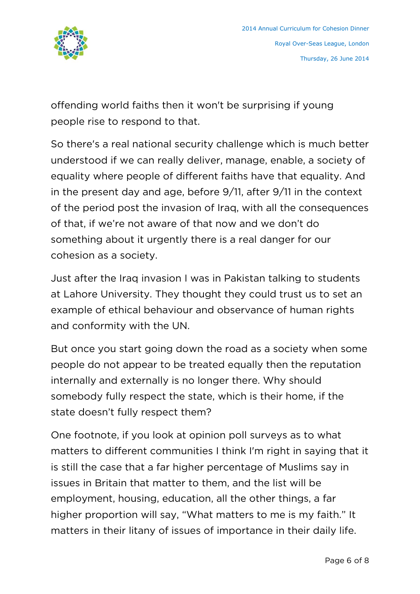

offending world faiths then it won't be surprising if young people rise to respond to that.

So there's a real national security challenge which is much better understood if we can really deliver, manage, enable, a society of equality where people of different faiths have that equality. And in the present day and age, before 9/11, after 9/11 in the context of the period post the invasion of Iraq, with all the consequences of that, if we're not aware of that now and we don't do something about it urgently there is a real danger for our cohesion as a society.

Just after the Iraq invasion I was in Pakistan talking to students at Lahore University. They thought they could trust us to set an example of ethical behaviour and observance of human rights and conformity with the UN.

But once you start going down the road as a society when some people do not appear to be treated equally then the reputation internally and externally is no longer there. Why should somebody fully respect the state, which is their home, if the state doesn't fully respect them?

One footnote, if you look at opinion poll surveys as to what matters to different communities I think I'm right in saying that it is still the case that a far higher percentage of Muslims say in issues in Britain that matter to them, and the list will be employment, housing, education, all the other things, a far higher proportion will say, "What matters to me is my faith." It matters in their litany of issues of importance in their daily life.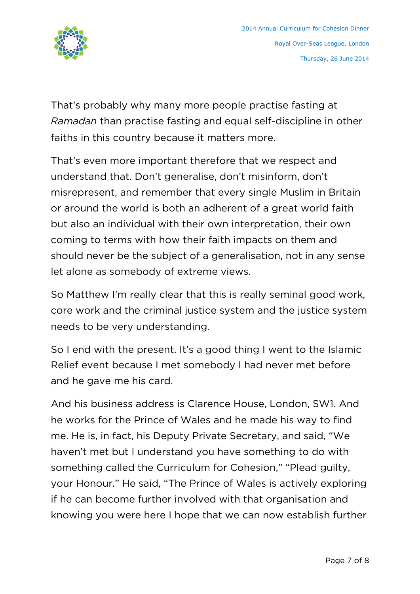

That's probably why many more people practise fasting at *Ramadan* than practise fasting and equal self-discipline in other faiths in this country because it matters more.

That's even more important therefore that we respect and understand that. Don't generalise, don't misinform, don't misrepresent, and remember that every single Muslim in Britain or around the world is both an adherent of a great world faith but also an individual with their own interpretation, their own coming to terms with how their faith impacts on them and should never be the subject of a generalisation, not in any sense let alone as somebody of extreme views.

So Matthew I'm really clear that this is really seminal good work, core work and the criminal justice system and the justice system needs to be very understanding.

So I end with the present. It's a good thing I went to the Islamic Relief event because I met somebody I had never met before and he gave me his card.

And his business address is Clarence House, London, SW1. And he works for the Prince of Wales and he made his way to find me. He is, in fact, his Deputy Private Secretary, and said, "We haven't met but I understand you have something to do with something called the Curriculum for Cohesion," "Plead guilty, your Honour." He said, "The Prince of Wales is actively exploring if he can become further involved with that organisation and knowing you were here I hope that we can now establish further